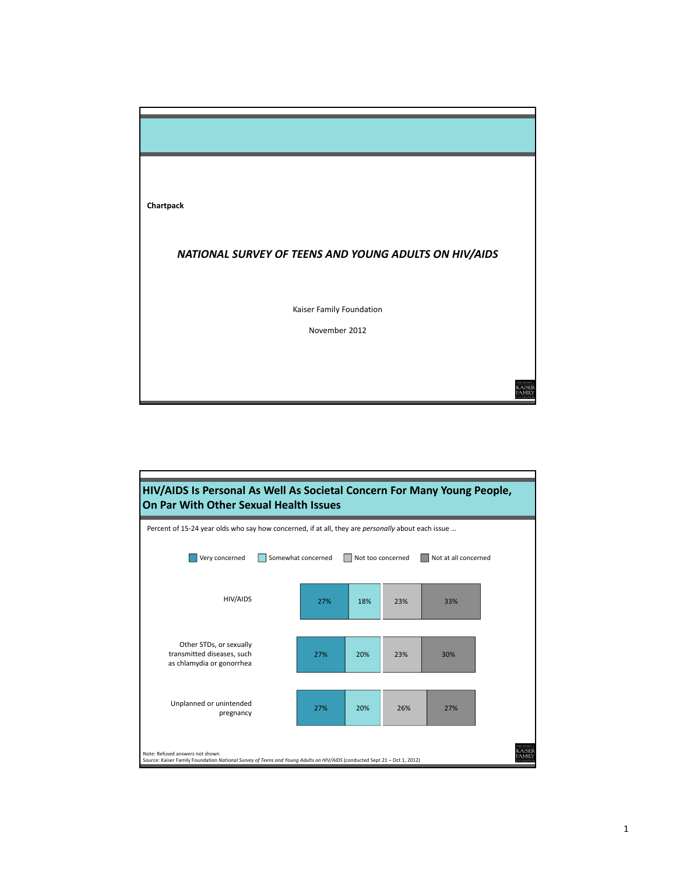

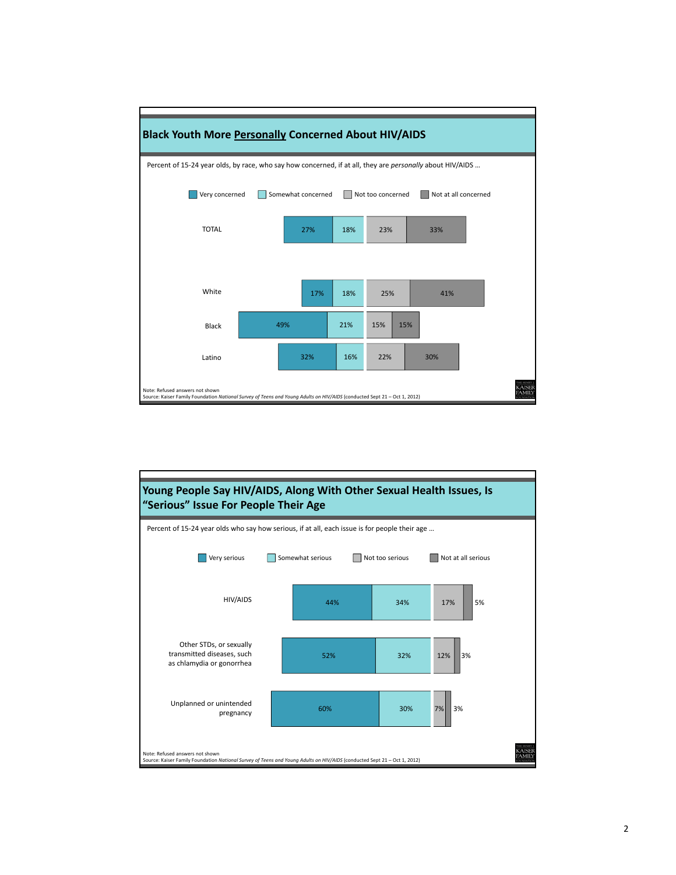



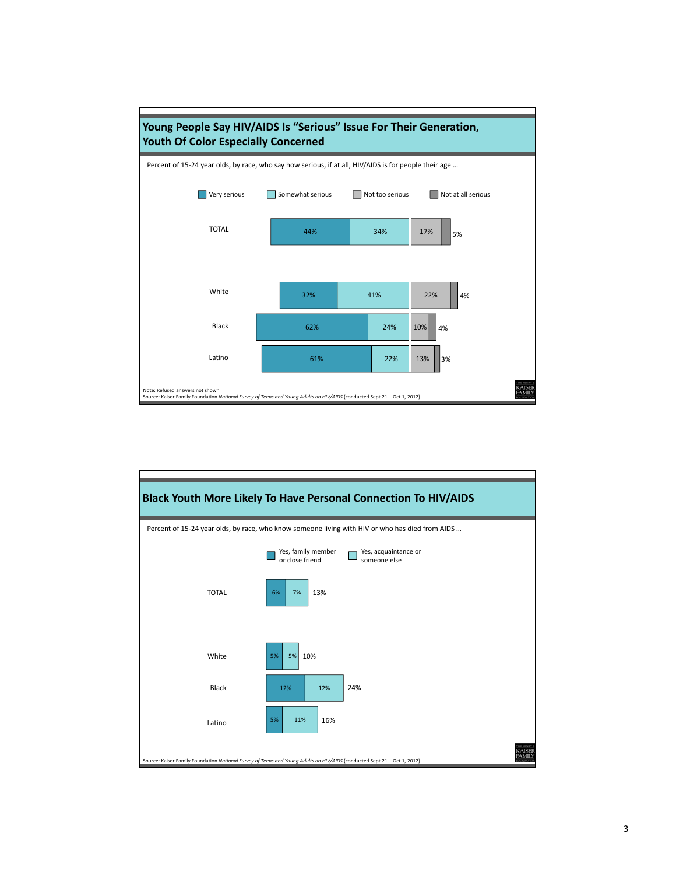

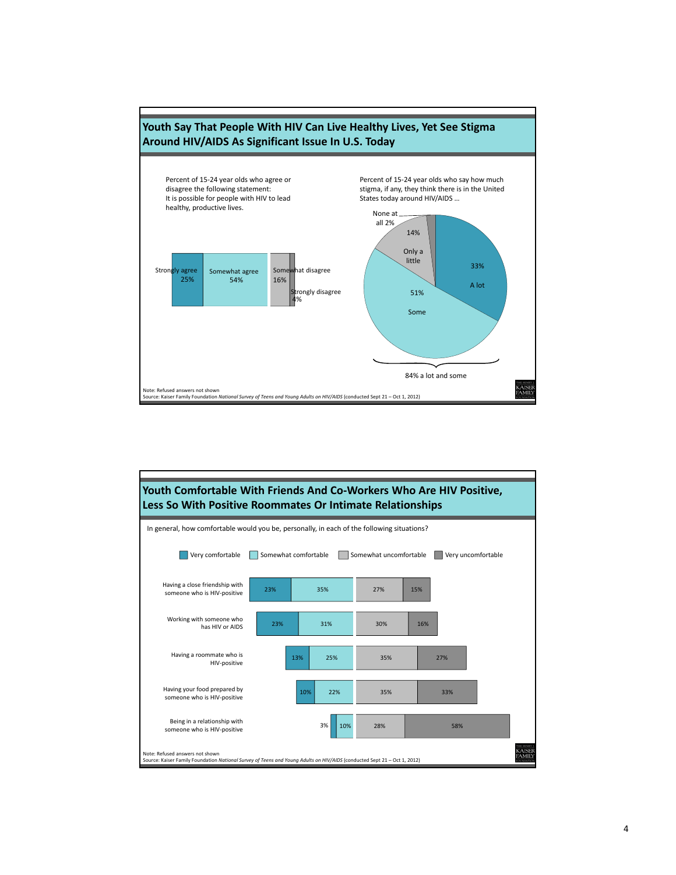

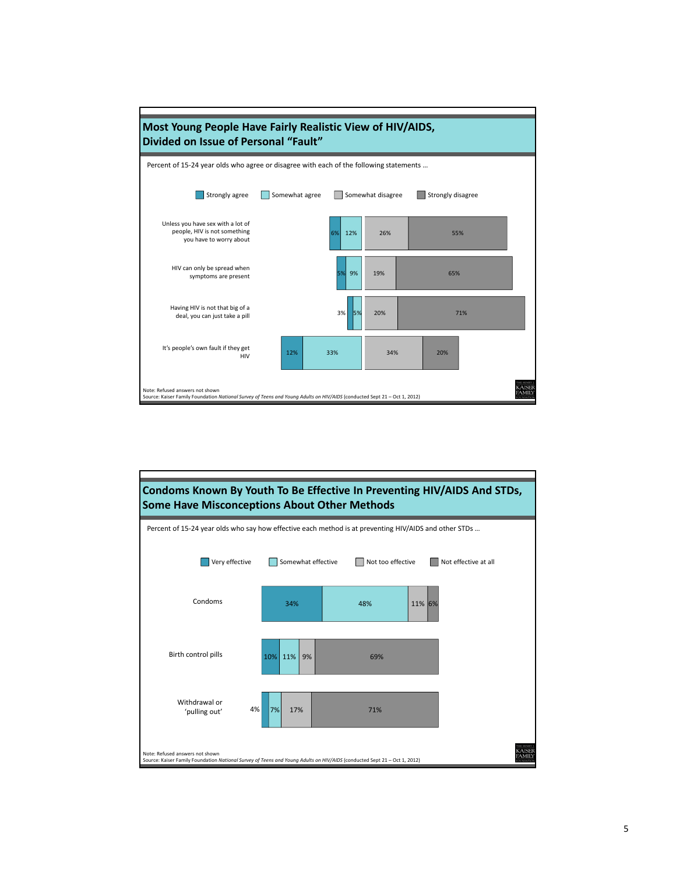

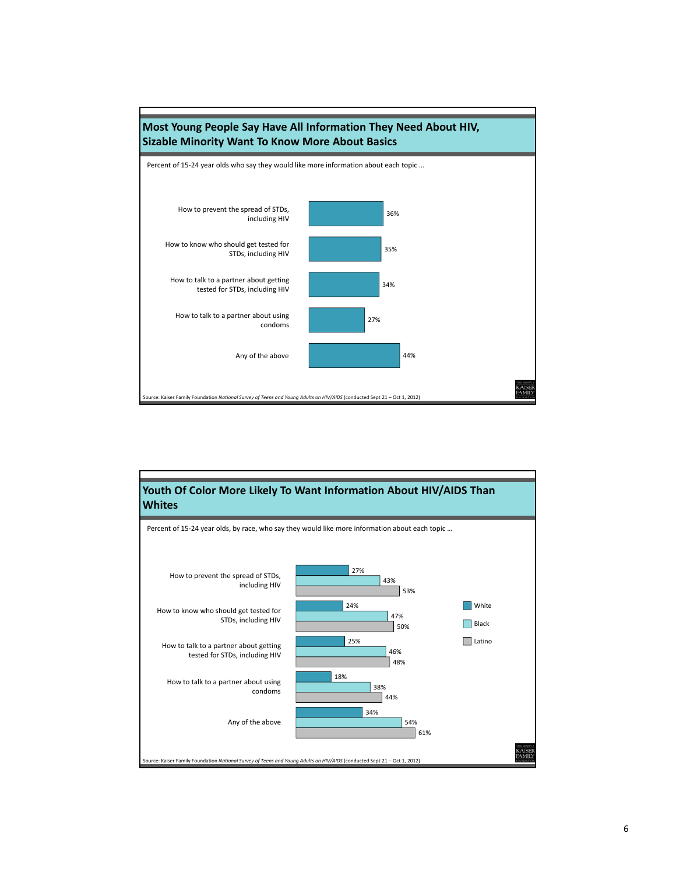

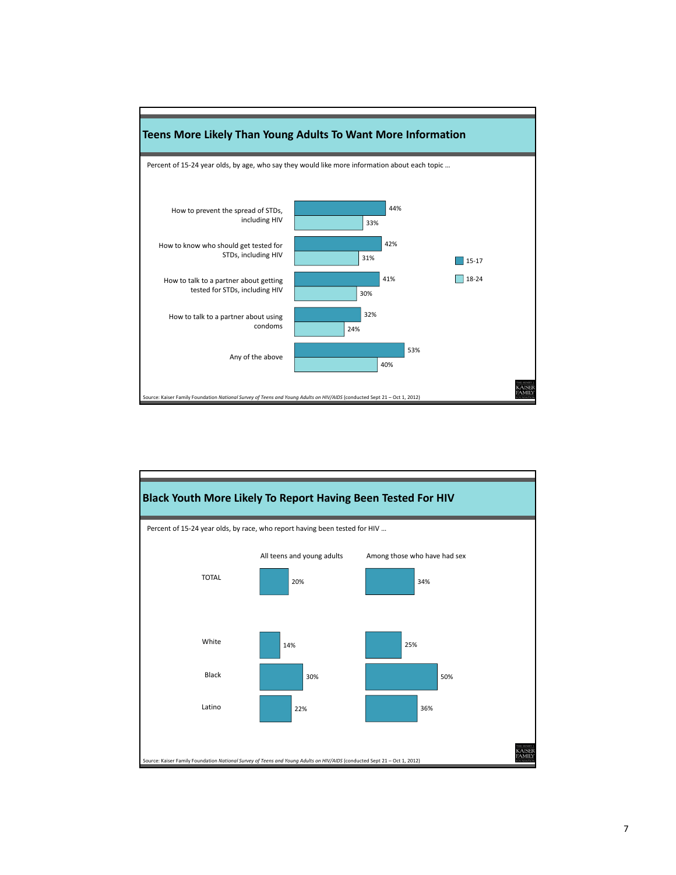

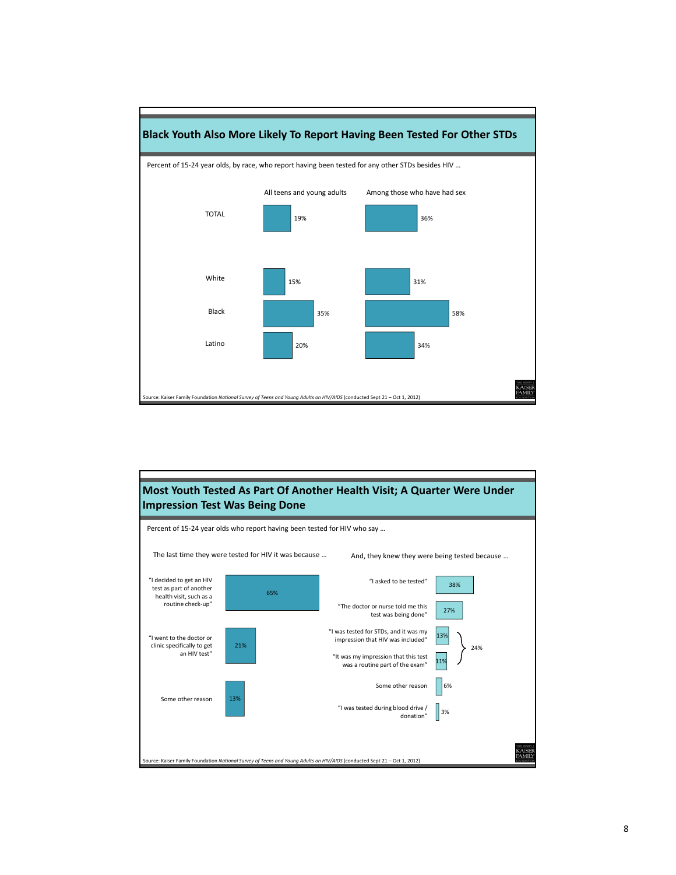

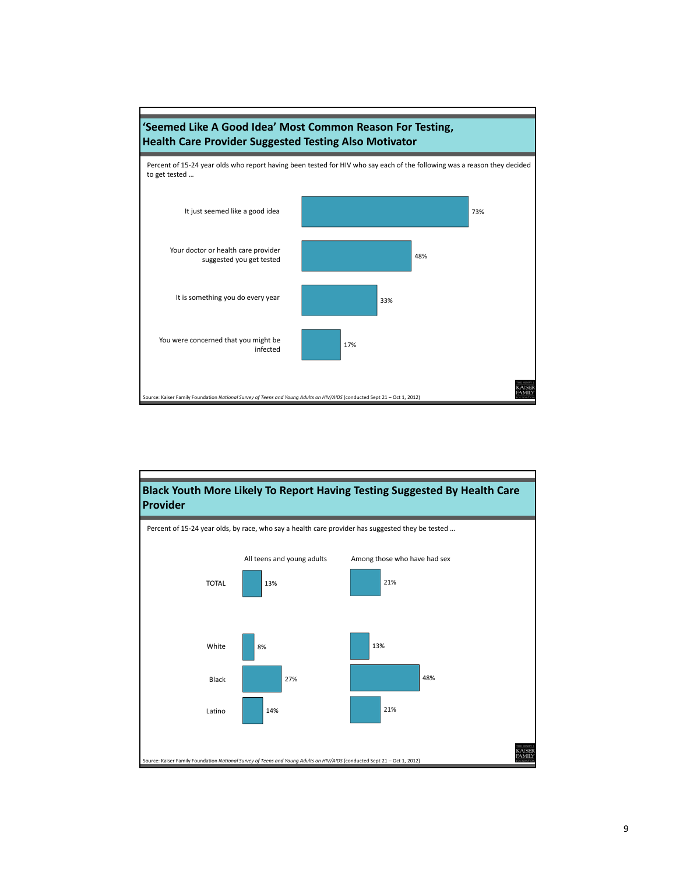

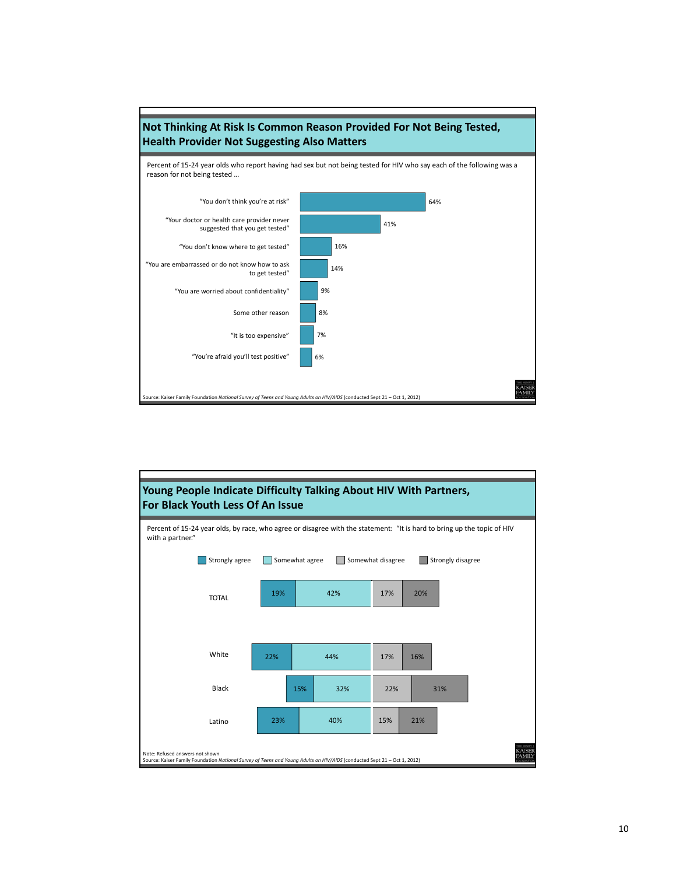

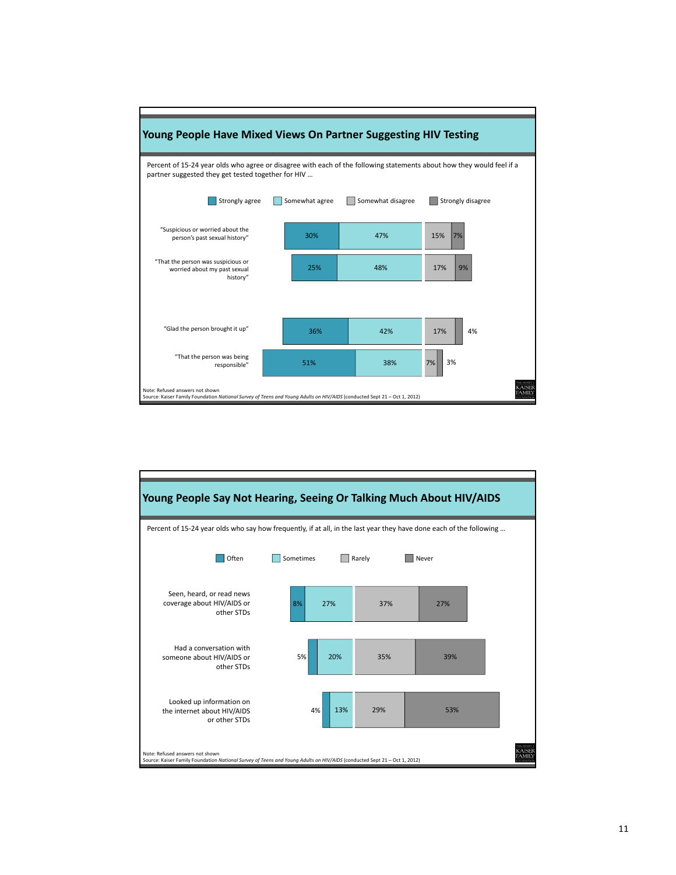

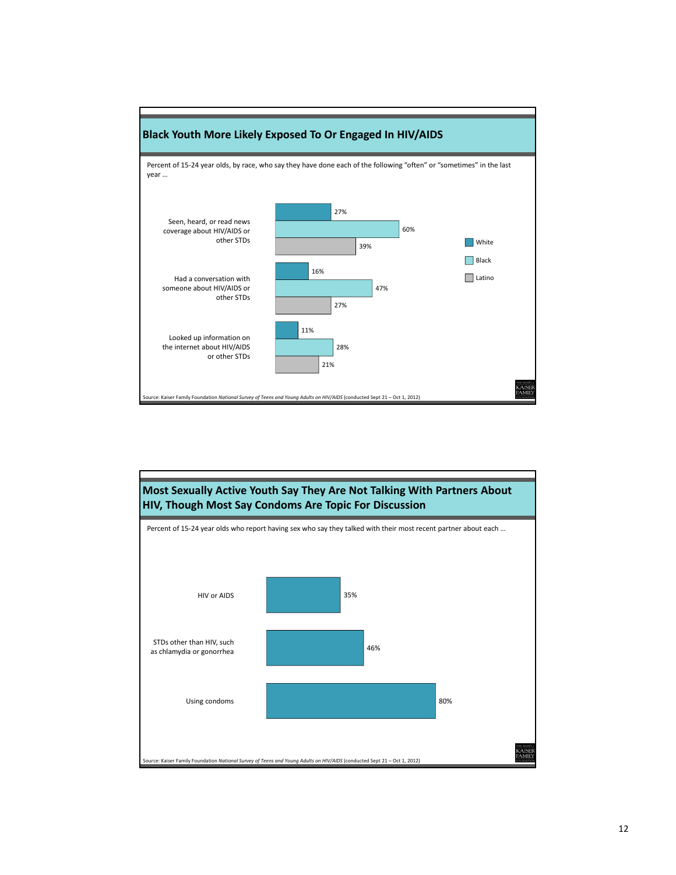

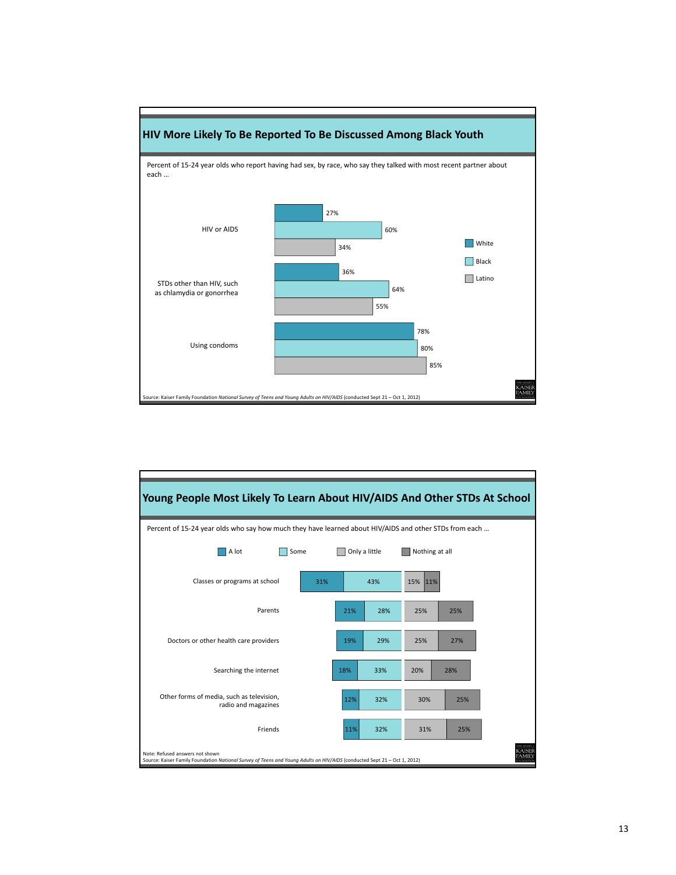

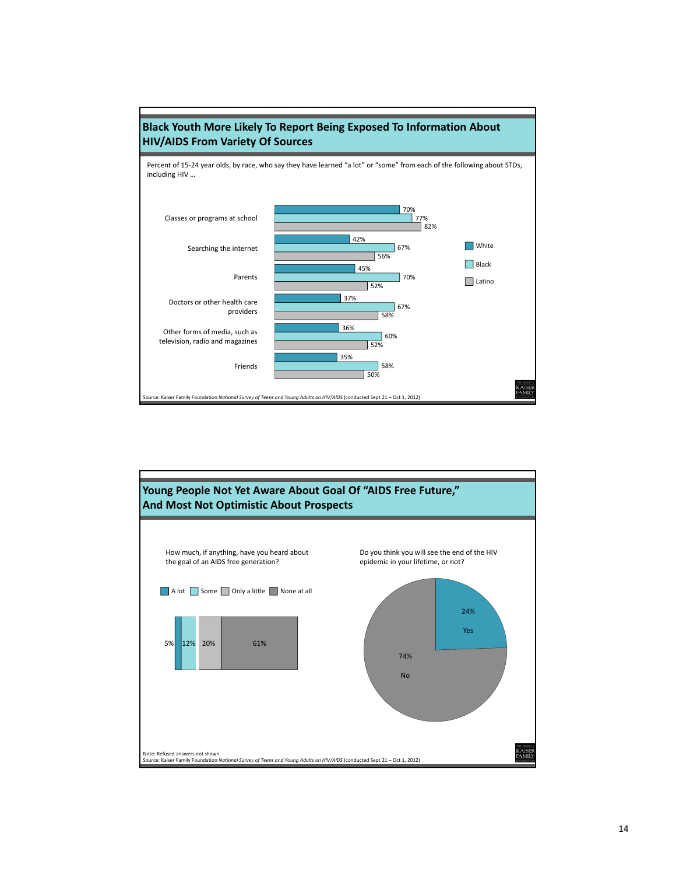

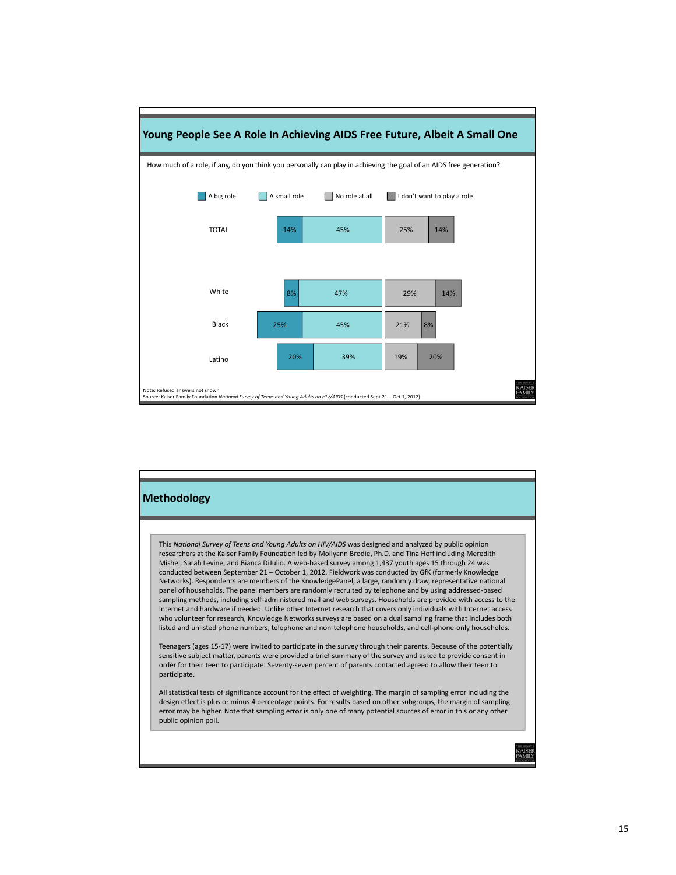

## **Young People See A Role In Achieving AIDS Free Future, Albeit A Small One**